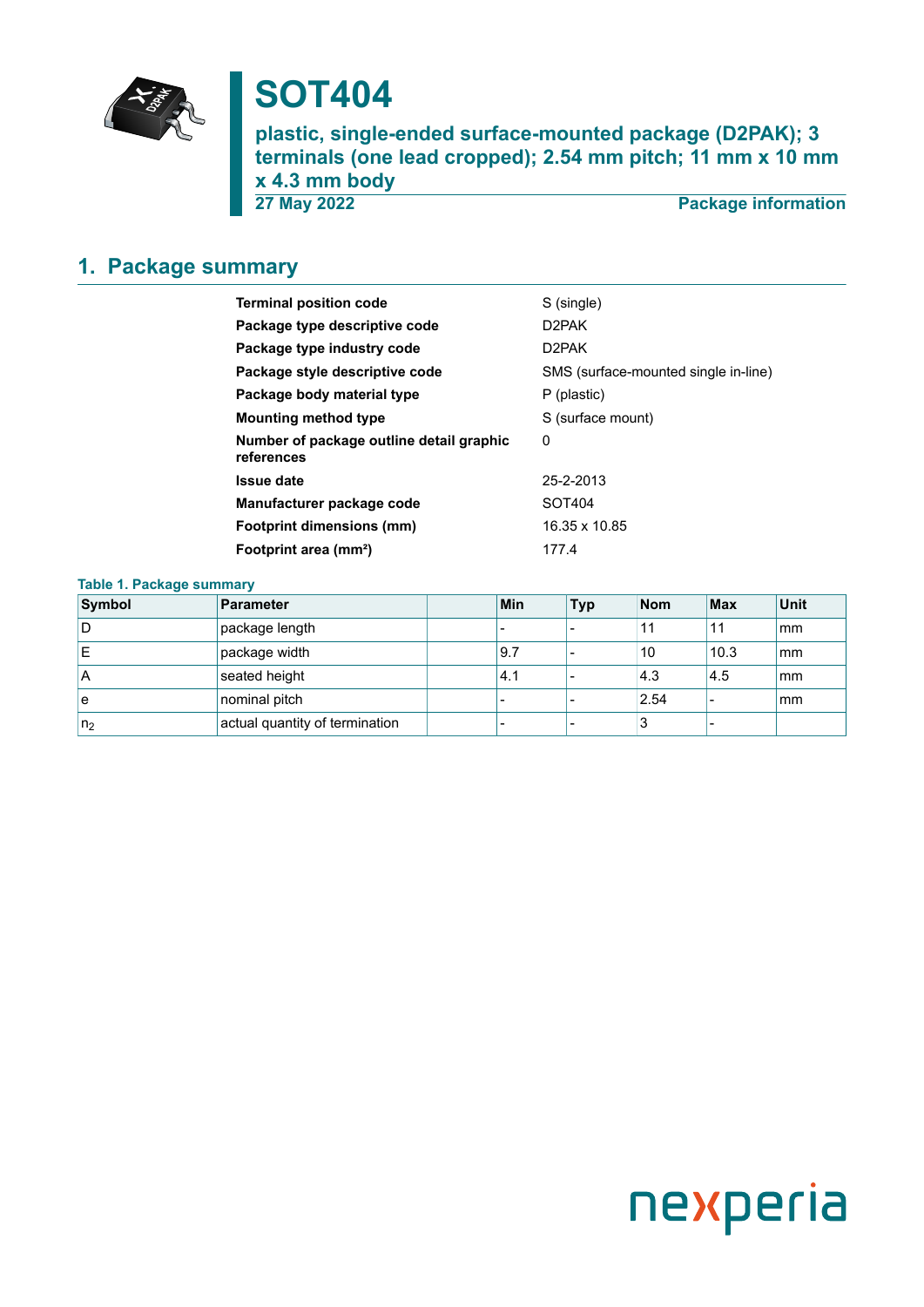

# **SOT404**

**plastic, single-ended surface-mounted package (D2PAK); 3 terminals (one lead cropped); 2.54 mm pitch; 11 mm x 10 mm x 4.3 mm body 27 May 2022 Package information**

### <span id="page-0-0"></span>**1. Package summary**

| <b>Terminal position code</b>                          | S (single)                           |
|--------------------------------------------------------|--------------------------------------|
| Package type descriptive code                          | D2PAK                                |
| Package type industry code                             | D2PAK                                |
| Package style descriptive code                         | SMS (surface-mounted single in-line) |
| Package body material type                             | P (plastic)                          |
| <b>Mounting method type</b>                            | S (surface mount)                    |
| Number of package outline detail graphic<br>references | 0                                    |
| <b>Issue date</b>                                      | 25-2-2013                            |
| Manufacturer package code                              | SOT404                               |
| <b>Footprint dimensions (mm)</b>                       | 16.35 x 10.85                        |
| Footprint area (mm <sup>2</sup> )                      | 177.4                                |
|                                                        |                                      |

#### **Table 1. Package summary**

| Symbol         | Parameter                      | Min | <b>Typ</b> | <b>Nom</b> | <b>Max</b> | Unit |
|----------------|--------------------------------|-----|------------|------------|------------|------|
| ۱D             | package length                 |     |            | 11         | 11         | mm   |
| ΙE             | package width                  | 9.7 |            | 10         | 10.3       | mm   |
| ۱A             | seated height                  | 4.1 |            | 4.3        | 4.5        | mm   |
| ۱e             | nominal pitch                  |     |            | 2.54       |            | mm   |
| n <sub>2</sub> | actual quantity of termination |     |            | O          |            |      |

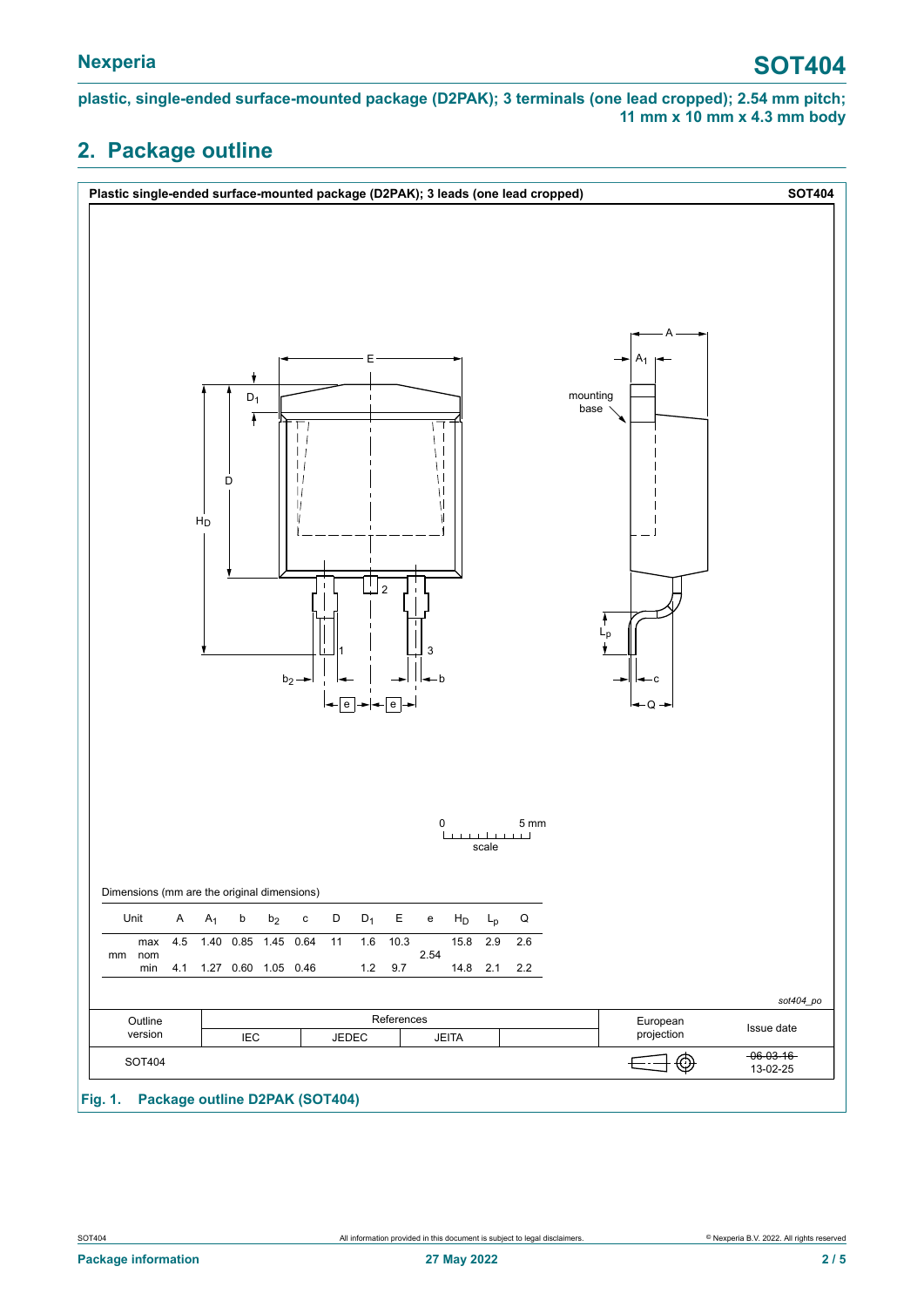**plastic, single-ended surface-mounted package (D2PAK); 3 terminals (one lead cropped); 2.54 mm pitch; 11 mm x 10 mm x 4.3 mm body**

### <span id="page-1-0"></span>**2. Package outline**

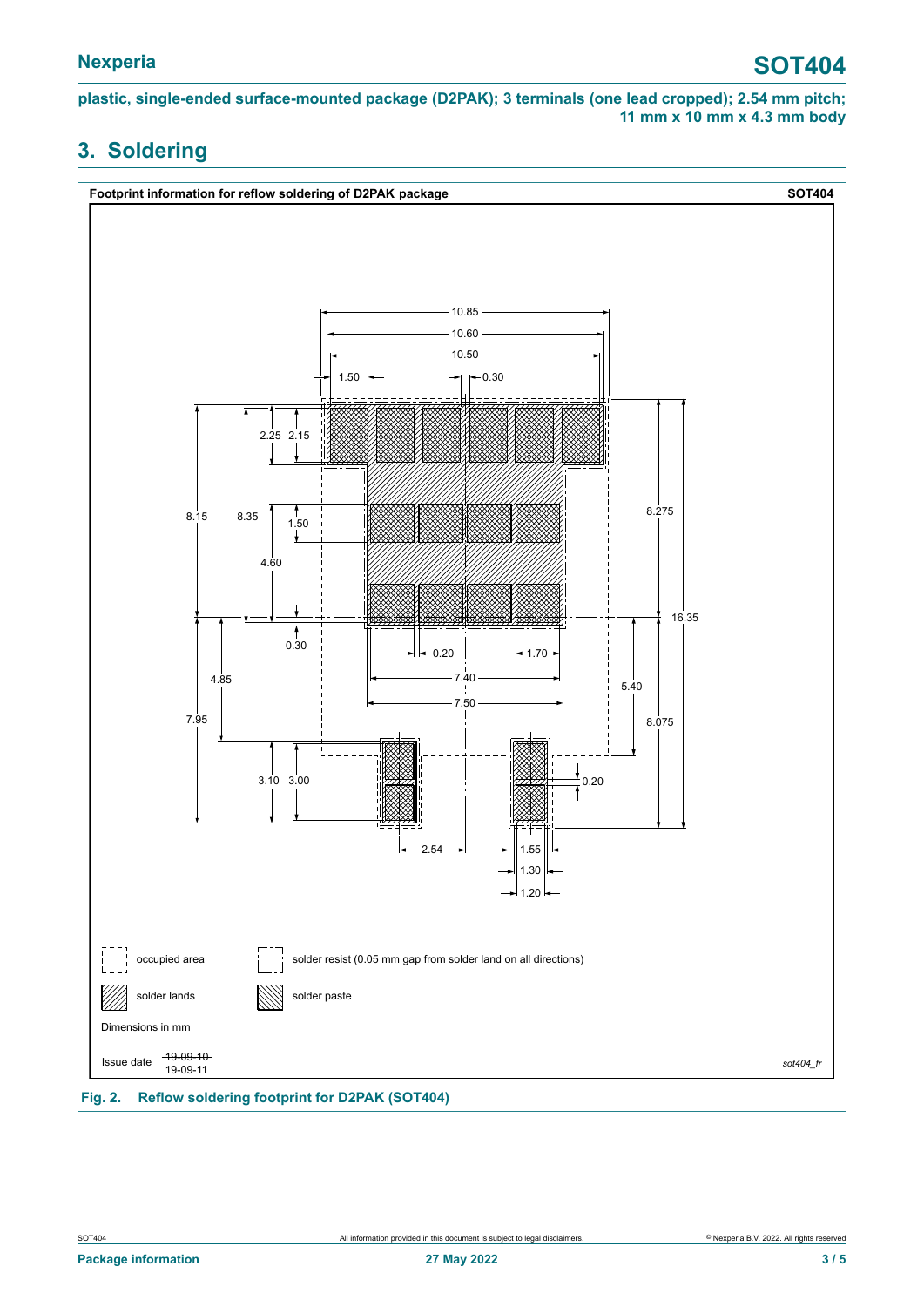**plastic, single-ended surface-mounted package (D2PAK); 3 terminals (one lead cropped); 2.54 mm pitch; 11 mm x 10 mm x 4.3 mm body**

### <span id="page-2-0"></span>**3. Soldering**

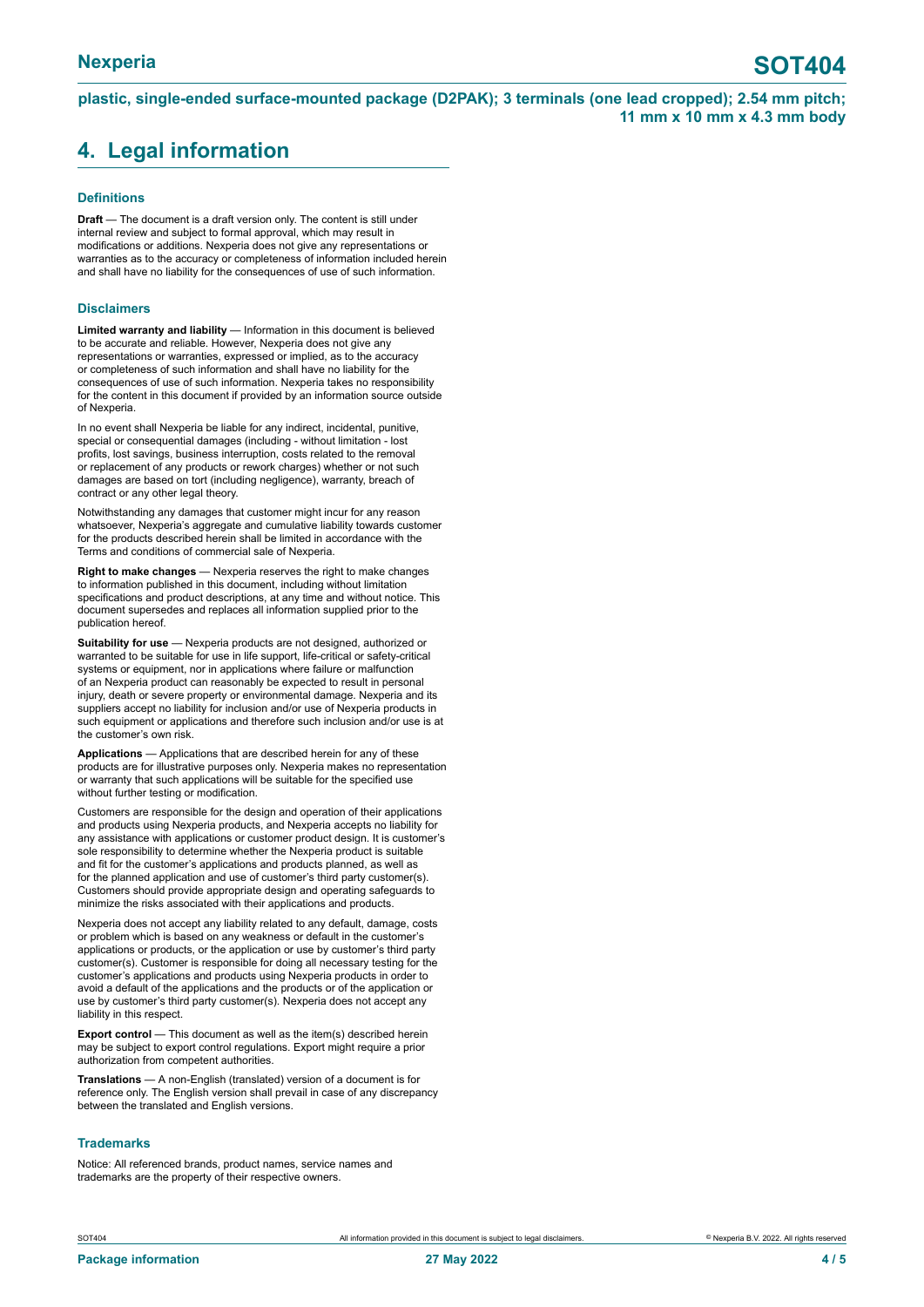**plastic, single-ended surface-mounted package (D2PAK); 3 terminals (one lead cropped); 2.54 mm pitch; 11 mm x 10 mm x 4.3 mm body**

### <span id="page-3-0"></span>**4. Legal information**

#### **Definitions**

**Draft** — The document is a draft version only. The content is still under internal review and subject to formal approval, which may result in modifications or additions. Nexperia does not give any representations or warranties as to the accuracy or completeness of information included herein and shall have no liability for the consequences of use of such information.

#### **Disclaimers**

**Limited warranty and liability** — Information in this document is believed to be accurate and reliable. However, Nexperia does not give any representations or warranties, expressed or implied, as to the accuracy or completeness of such information and shall have no liability for the consequences of use of such information. Nexperia takes no responsibility for the content in this document if provided by an information source outside of Nexperia.

In no event shall Nexperia be liable for any indirect, incidental, punitive, special or consequential damages (including - without limitation - lost profits, lost savings, business interruption, costs related to the removal or replacement of any products or rework charges) whether or not such damages are based on tort (including negligence), warranty, breach of contract or any other legal theory.

Notwithstanding any damages that customer might incur for any reason whatsoever, Nexperia's aggregate and cumulative liability towards customer for the products described herein shall be limited in accordance with the Terms and conditions of commercial sale of Nexperia.

**Right to make changes** — Nexperia reserves the right to make changes to information published in this document, including without limitation specifications and product descriptions, at any time and without notice. This document supersedes and replaces all information supplied prior to the publication hereof.

**Suitability for use** — Nexperia products are not designed, authorized or warranted to be suitable for use in life support, life-critical or safety-critical systems or equipment, nor in applications where failure or malfunction of an Nexperia product can reasonably be expected to result in personal injury, death or severe property or environmental damage. Nexperia and its suppliers accept no liability for inclusion and/or use of Nexperia products in such equipment or applications and therefore such inclusion and/or use is at the customer's own risk.

**Applications** — Applications that are described herein for any of these products are for illustrative purposes only. Nexperia makes no representation or warranty that such applications will be suitable for the specified use without further testing or modification.

Customers are responsible for the design and operation of their applications and products using Nexperia products, and Nexperia accepts no liability for any assistance with applications or customer product design. It is customer's sole responsibility to determine whether the Nexperia product is suitable and fit for the customer's applications and products planned, as well as for the planned application and use of customer's third party customer(s). Customers should provide appropriate design and operating safeguards to minimize the risks associated with their applications and products.

Nexperia does not accept any liability related to any default, damage, costs or problem which is based on any weakness or default in the customer's applications or products, or the application or use by customer's third party customer(s). Customer is responsible for doing all necessary testing for the customer's applications and products using Nexperia products in order to avoid a default of the applications and the products or of the application or use by customer's third party customer(s). Nexperia does not accept any liability in this respect.

**Export control** — This document as well as the item(s) described herein may be subject to export control regulations. Export might require a prior authorization from competent authorities.

**Translations** — A non-English (translated) version of a document is for reference only. The English version shall prevail in case of any discrepancy between the translated and English versions.

#### **Trademarks**

Notice: All referenced brands, product names, service names and trademarks are the property of their respective owners.